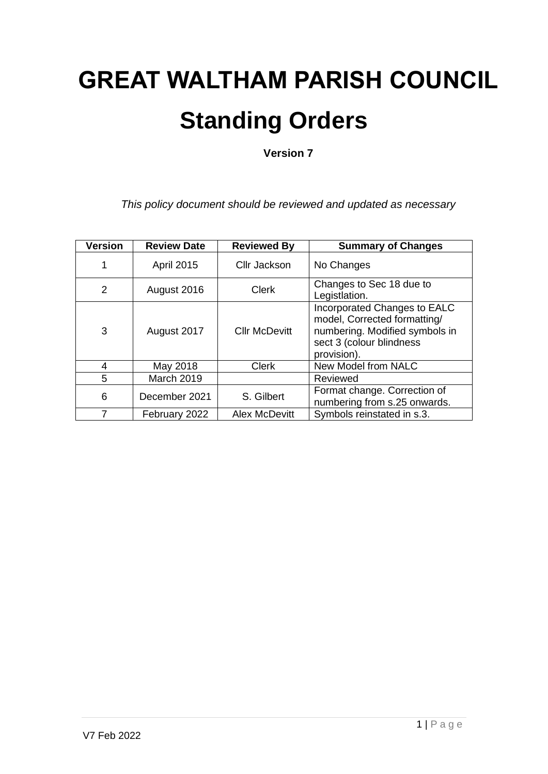# **GREAT WALTHAM PARISH COUNCIL Standing Orders**

**Version 7**

*This policy document should be reviewed and updated as necessary*

| <b>Version</b> | <b>Review Date</b> | <b>Reviewed By</b>   | <b>Summary of Changes</b>                                                                                                                 |  |  |  |  |
|----------------|--------------------|----------------------|-------------------------------------------------------------------------------------------------------------------------------------------|--|--|--|--|
| 1              | <b>April 2015</b>  | Cllr Jackson         | No Changes                                                                                                                                |  |  |  |  |
| 2              | August 2016        | <b>Clerk</b>         | Changes to Sec 18 due to<br>Legistlation.                                                                                                 |  |  |  |  |
| 3              | August 2017        | <b>Cllr McDevitt</b> | Incorporated Changes to EALC<br>model, Corrected formatting/<br>numbering. Modified symbols in<br>sect 3 (colour blindness<br>provision). |  |  |  |  |
| 4              | May 2018           | <b>Clerk</b>         | New Model from NALC                                                                                                                       |  |  |  |  |
| 5              | March 2019         |                      | Reviewed                                                                                                                                  |  |  |  |  |
| 6              | December 2021      | S. Gilbert           | Format change. Correction of<br>numbering from s.25 onwards.                                                                              |  |  |  |  |
|                | February 2022      | <b>Alex McDevitt</b> | Symbols reinstated in s.3.                                                                                                                |  |  |  |  |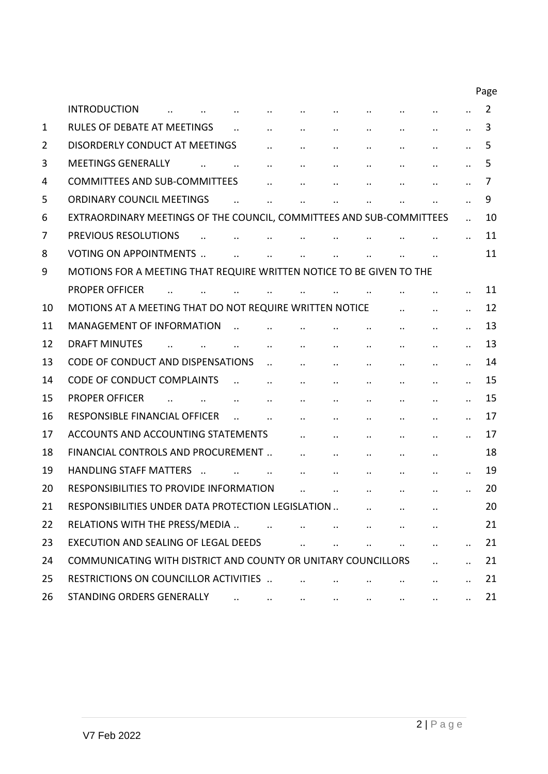|                |                                                                      |                      |                      |                      |                      |                      |                      |                      |                      | Page           |
|----------------|----------------------------------------------------------------------|----------------------|----------------------|----------------------|----------------------|----------------------|----------------------|----------------------|----------------------|----------------|
|                | <b>INTRODUCTION</b>                                                  |                      |                      |                      |                      |                      |                      |                      |                      | $\overline{2}$ |
| 1              | <b>RULES OF DEBATE AT MEETINGS</b>                                   |                      |                      |                      | $\ddotsc$            |                      | $\cdot$ .            |                      |                      | 3              |
| $\overline{2}$ | <b>DISORDERLY CONDUCT AT MEETINGS</b>                                |                      |                      |                      | $\ddot{\phantom{a}}$ |                      |                      | $\ddot{\phantom{a}}$ | $\ddot{\phantom{a}}$ | 5              |
| 3              | <b>MEETINGS GENERALLY</b>                                            |                      |                      | $\ddot{\phantom{0}}$ | $\cdot$ .            | $\ddot{\phantom{0}}$ | $\cdot$ .            |                      |                      | 5              |
| 4              | <b>COMMITTEES AND SUB-COMMITTEES</b>                                 |                      |                      |                      | $\ddot{\phantom{a}}$ |                      |                      |                      |                      | 7              |
| 5              | <b>ORDINARY COUNCIL MEETINGS</b>                                     |                      |                      |                      | $\ddot{\phantom{a}}$ |                      |                      |                      | $\ddot{\phantom{a}}$ | 9              |
| 6              | EXTRAORDINARY MEETINGS OF THE COUNCIL, COMMITTEES AND SUB-COMMITTEES |                      |                      |                      |                      |                      |                      |                      |                      | 10             |
| 7              | PREVIOUS RESOLUTIONS                                                 |                      |                      |                      |                      |                      |                      |                      |                      | 11             |
| 8              | <b>VOTING ON APPOINTMENTS </b>                                       |                      | $\ddot{\phantom{a}}$ | $\ddot{\phantom{a}}$ |                      |                      |                      |                      |                      | 11             |
| 9              | MOTIONS FOR A MEETING THAT REQUIRE WRITTEN NOTICE TO BE GIVEN TO THE |                      |                      |                      |                      |                      |                      |                      |                      |                |
|                | <b>PROPER OFFICER</b>                                                |                      |                      |                      |                      |                      |                      |                      |                      | 11             |
| 10             | MOTIONS AT A MEETING THAT DO NOT REQUIRE WRITTEN NOTICE              |                      |                      |                      |                      |                      |                      |                      |                      | 12             |
| 11             | <b>MANAGEMENT OF INFORMATION</b>                                     |                      |                      |                      |                      |                      |                      |                      |                      | 13             |
| 12             | <b>DRAFT MINUTES</b>                                                 |                      |                      | $\ddot{\phantom{a}}$ | $\ddot{\phantom{a}}$ |                      |                      |                      |                      | 13             |
| 13             | CODE OF CONDUCT AND DISPENSATIONS                                    |                      |                      | $\ddot{\phantom{a}}$ | $\cdot$ .            | $\cdot$ .            | $\ddotsc$            | $\ddot{\phantom{0}}$ |                      | 14             |
| 14             | <b>CODE OF CONDUCT COMPLAINTS</b>                                    |                      |                      | $\ddot{\phantom{a}}$ | $\ddot{\phantom{a}}$ |                      | $\ddot{\phantom{0}}$ | $\ddot{\phantom{a}}$ |                      | 15             |
| 15             | <b>PROPER OFFICER</b>                                                | $\ddot{\phantom{a}}$ |                      |                      | $\ddot{\phantom{0}}$ |                      |                      | $\ddot{\phantom{a}}$ |                      | 15             |
| 16             | RESPONSIBLE FINANCIAL OFFICER                                        |                      |                      |                      | $\ddotsc$            | $\cdot$              | $\ddotsc$            | $\cdot$ .            |                      | 17             |
| 17             | ACCOUNTS AND ACCOUNTING STATEMENTS                                   |                      |                      |                      | $\cdot$ .            |                      | $\ddot{\phantom{a}}$ | $\ddot{\phantom{a}}$ |                      | 17             |
| 18             | FINANCIAL CONTROLS AND PROCUREMENT                                   |                      |                      |                      | $\ddot{\phantom{a}}$ |                      | $\ddot{\phantom{a}}$ | $\ddot{\phantom{a}}$ |                      | 18             |
| 19             | <b>HANDLING STAFF MATTERS</b>                                        |                      |                      |                      |                      |                      |                      |                      |                      | 19             |
| 20             | RESPONSIBILITIES TO PROVIDE INFORMATION                              |                      |                      |                      | $\ddot{\phantom{a}}$ | $\ddot{\phantom{a}}$ |                      |                      |                      | 20             |
| 21             | RESPONSIBILITIES UNDER DATA PROTECTION LEGISLATION                   |                      |                      |                      |                      |                      |                      |                      |                      | 20             |
| 22             | RELATIONS WITH THE PRESS/MEDIA                                       |                      | $\sim$ $\sim$        |                      | $\ddotsc$            |                      | $\ddots$             |                      |                      | 21             |
| 23             | <b>EXECUTION AND SEALING OF LEGAL DEEDS</b>                          |                      |                      |                      |                      |                      |                      | $\ddotsc$            |                      | 21             |
| 24             | COMMUNICATING WITH DISTRICT AND COUNTY OR UNITARY COUNCILLORS        |                      |                      |                      |                      |                      |                      |                      |                      | 21             |
| 25             | RESTRICTIONS ON COUNCILLOR ACTIVITIES                                |                      |                      |                      |                      |                      |                      |                      |                      | 21             |
| 26             |                                                                      |                      |                      |                      |                      | <b>ALCOHOL:</b>      |                      |                      |                      | 21             |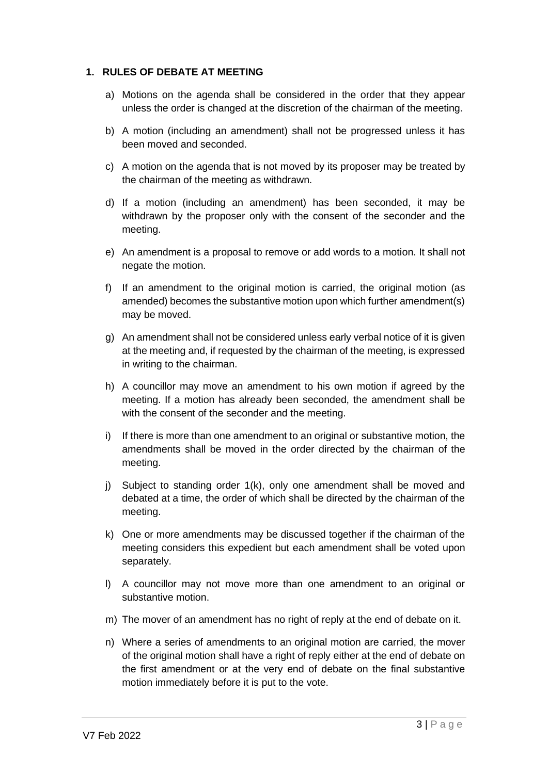#### **1. RULES OF DEBATE AT MEETING**

- a) Motions on the agenda shall be considered in the order that they appear unless the order is changed at the discretion of the chairman of the meeting.
- b) A motion (including an amendment) shall not be progressed unless it has been moved and seconded.
- c) A motion on the agenda that is not moved by its proposer may be treated by the chairman of the meeting as withdrawn.
- d) If a motion (including an amendment) has been seconded, it may be withdrawn by the proposer only with the consent of the seconder and the meeting.
- e) An amendment is a proposal to remove or add words to a motion. It shall not negate the motion.
- f) If an amendment to the original motion is carried, the original motion (as amended) becomes the substantive motion upon which further amendment(s) may be moved.
- g) An amendment shall not be considered unless early verbal notice of it is given at the meeting and, if requested by the chairman of the meeting, is expressed in writing to the chairman.
- h) A councillor may move an amendment to his own motion if agreed by the meeting. If a motion has already been seconded, the amendment shall be with the consent of the seconder and the meeting.
- i) If there is more than one amendment to an original or substantive motion, the amendments shall be moved in the order directed by the chairman of the meeting.
- j) Subject to standing order 1(k), only one amendment shall be moved and debated at a time, the order of which shall be directed by the chairman of the meeting.
- k) One or more amendments may be discussed together if the chairman of the meeting considers this expedient but each amendment shall be voted upon separately.
- l) A councillor may not move more than one amendment to an original or substantive motion.
- m) The mover of an amendment has no right of reply at the end of debate on it.
- n) Where a series of amendments to an original motion are carried, the mover of the original motion shall have a right of reply either at the end of debate on the first amendment or at the very end of debate on the final substantive motion immediately before it is put to the vote.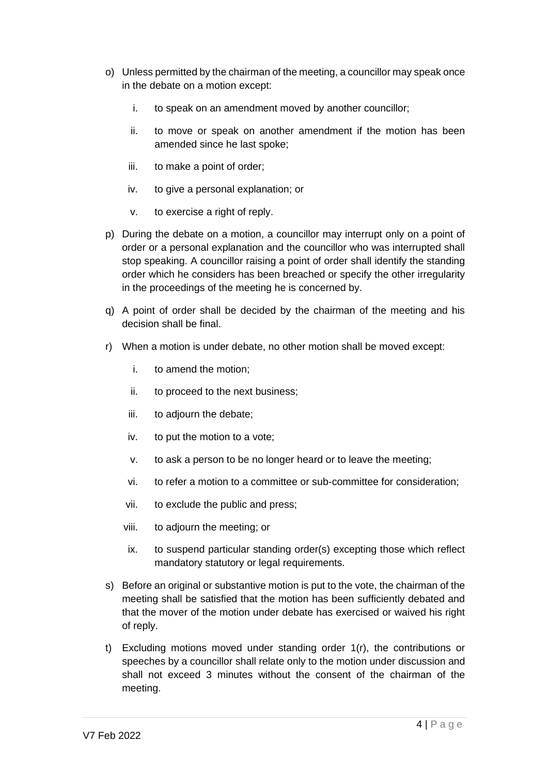- o) Unless permitted by the chairman of the meeting, a councillor may speak once in the debate on a motion except:
	- i. to speak on an amendment moved by another councillor;
	- ii. to move or speak on another amendment if the motion has been amended since he last spoke;
	- iii. to make a point of order;
	- iv. to give a personal explanation; or
	- v. to exercise a right of reply.
- p) During the debate on a motion, a councillor may interrupt only on a point of order or a personal explanation and the councillor who was interrupted shall stop speaking. A councillor raising a point of order shall identify the standing order which he considers has been breached or specify the other irregularity in the proceedings of the meeting he is concerned by.
- q) A point of order shall be decided by the chairman of the meeting and his decision shall be final.
- r) When a motion is under debate, no other motion shall be moved except:
	- i. to amend the motion;
	- ii. to proceed to the next business;
	- iii. to adjourn the debate;
	- iv. to put the motion to a vote;
	- v. to ask a person to be no longer heard or to leave the meeting;
	- vi. to refer a motion to a committee or sub-committee for consideration;
	- vii. to exclude the public and press;
	- viii. to adjourn the meeting; or
	- ix. to suspend particular standing order(s) excepting those which reflect mandatory statutory or legal requirements.
- s) Before an original or substantive motion is put to the vote, the chairman of the meeting shall be satisfied that the motion has been sufficiently debated and that the mover of the motion under debate has exercised or waived his right of reply.
- t) Excluding motions moved under standing order 1(r), the contributions or speeches by a councillor shall relate only to the motion under discussion and shall not exceed 3 minutes without the consent of the chairman of the meeting.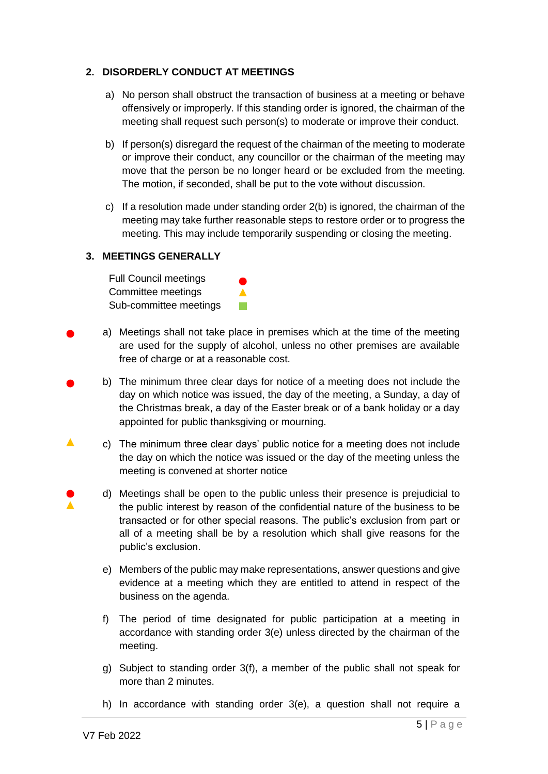## **2. DISORDERLY CONDUCT AT MEETINGS**

- a) No person shall obstruct the transaction of business at a meeting or behave offensively or improperly. If this standing order is ignored, the chairman of the meeting shall request such person(s) to moderate or improve their conduct.
- b) If person(s) disregard the request of the chairman of the meeting to moderate or improve their conduct, any councillor or the chairman of the meeting may move that the person be no longer heard or be excluded from the meeting. The motion, if seconded, shall be put to the vote without discussion.
- c) If a resolution made under standing order 2(b) is ignored, the chairman of the meeting may take further reasonable steps to restore order or to progress the meeting. This may include temporarily suspending or closing the meeting.

# **3. MEETINGS GENERALLY**

Full Council meetings Committee meetings Sub-committee meetings

a) Meetings shall not take place in premises which at the time of the meeting are used for the supply of alcohol, unless no other premises are available free of charge or at a reasonable cost.

 $\blacktriangle$ **Tale** 

- b) The minimum three clear days for notice of a meeting does not include the day on which notice was issued, the day of the meeting, a Sunday, a day of the Christmas break, a day of the Easter break or of a bank holiday or a day appointed for public thanksgiving or mourning.
- $\blacktriangle$ c) The minimum three clear days' public notice for a meeting does not include the day on which the notice was issued or the day of the meeting unless the meeting is convened at shorter notice
	- d) Meetings shall be open to the public unless their presence is prejudicial to the public interest by reason of the confidential nature of the business to be transacted or for other special reasons. The public's exclusion from part or all of a meeting shall be by a resolution which shall give reasons for the public's exclusion.
		- e) Members of the public may make representations, answer questions and give evidence at a meeting which they are entitled to attend in respect of the business on the agenda.
		- f) The period of time designated for public participation at a meeting in accordance with standing order 3(e) unless directed by the chairman of the meeting.
		- g) Subject to standing order 3(f), a member of the public shall not speak for more than 2 minutes.
		- h) In accordance with standing order 3(e), a question shall not require a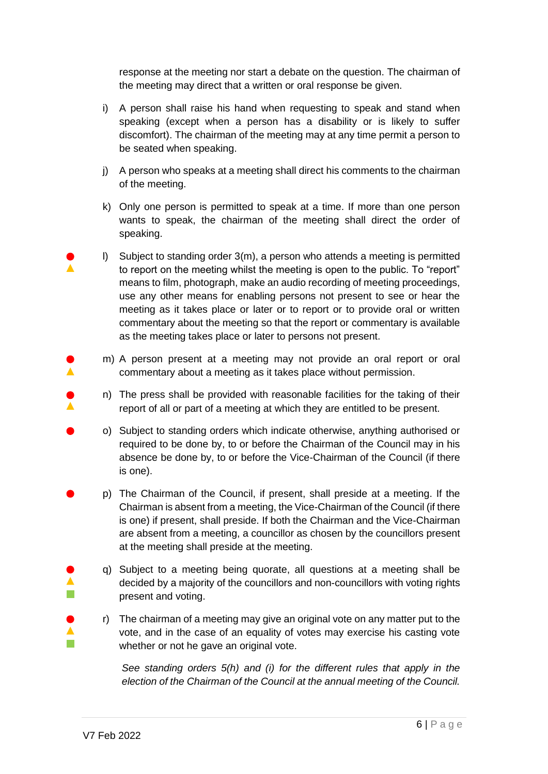response at the meeting nor start a debate on the question. The chairman of the meeting may direct that a written or oral response be given.

- i) A person shall raise his hand when requesting to speak and stand when speaking (except when a person has a disability or is likely to suffer discomfort). The chairman of the meeting may at any time permit a person to be seated when speaking.
- j) A person who speaks at a meeting shall direct his comments to the chairman of the meeting.
- k) Only one person is permitted to speak at a time. If more than one person wants to speak, the chairman of the meeting shall direct the order of speaking.
- l) Subject to standing order 3(m), a person who attends a meeting is permitted to report on the meeting whilst the meeting is open to the public. To "report" means to film, photograph, make an audio recording of meeting proceedings, use any other means for enabling persons not present to see or hear the meeting as it takes place or later or to report or to provide oral or written commentary about the meeting so that the report or commentary is available as the meeting takes place or later to persons not present.
	- m) A person present at a meeting may not provide an oral report or oral commentary about a meeting as it takes place without permission.
		- n) The press shall be provided with reasonable facilities for the taking of their report of all or part of a meeting at which they are entitled to be present.
- o) Subject to standing orders which indicate otherwise, anything authorised or required to be done by, to or before the Chairman of the Council may in his absence be done by, to or before the Vice-Chairman of the Council (if there is one).
- p) The Chairman of the Council, if present, shall preside at a meeting. If the Chairman is absent from a meeting, the Vice-Chairman of the Council (if there is one) if present, shall preside. If both the Chairman and the Vice-Chairman are absent from a meeting, a councillor as chosen by the councillors present at the meeting shall preside at the meeting.
	- q) Subject to a meeting being quorate, all questions at a meeting shall be decided by a majority of the councillors and non-councillors with voting rights present and voting.
	- r) The chairman of a meeting may give an original vote on any matter put to the vote, and in the case of an equality of votes may exercise his casting vote whether or not he gave an original vote.

*See standing orders 5(h) and (i) for the different rules that apply in the election of the Chairman of the Council at the annual meeting of the Council.*

 $\blacktriangle$ 

 $\blacktriangle$  $\mathbb{R}^n$ 

 $\blacktriangle$  $\sim$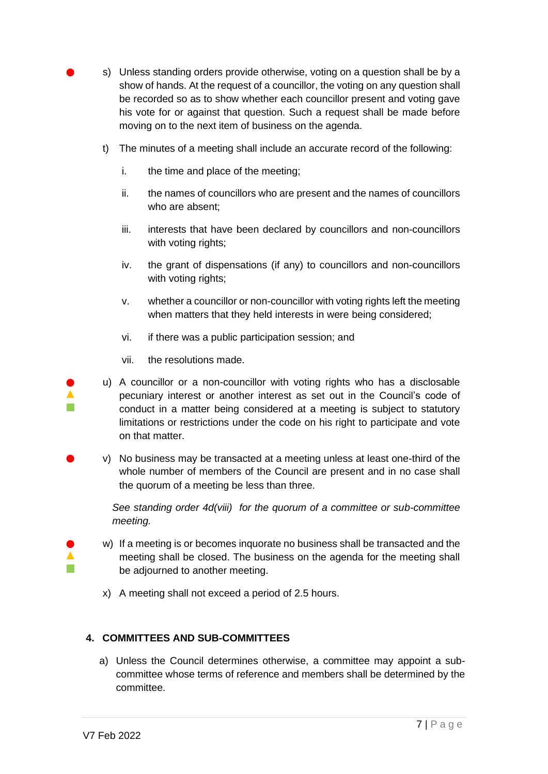- s) Unless standing orders provide otherwise, voting on a question shall be by a show of hands. At the request of a councillor, the voting on any question shall be recorded so as to show whether each councillor present and voting gave his vote for or against that question. Such a request shall be made before moving on to the next item of business on the agenda.
- t) The minutes of a meeting shall include an accurate record of the following:
	- i. the time and place of the meeting;
	- ii. the names of councillors who are present and the names of councillors who are absent;
	- iii. interests that have been declared by councillors and non-councillors with voting rights;
	- iv. the grant of dispensations (if any) to councillors and non-councillors with voting rights;
	- v. whether a councillor or non-councillor with voting rights left the meeting when matters that they held interests in were being considered;
	- vi. if there was a public participation session; and
	- vii. the resolutions made.
- u) A councillor or a non-councillor with voting rights who has a disclosable pecuniary interest or another interest as set out in the Council's code of conduct in a matter being considered at a meeting is subject to statutory limitations or restrictions under the code on his right to participate and vote on that matter.
- v) No business may be transacted at a meeting unless at least one-third of the whole number of members of the Council are present and in no case shall the quorum of a meeting be less than three.

*See standing order 4d(viii) for the quorum of a committee or sub-committee meeting.* 

- w) If a meeting is or becomes inquorate no business shall be transacted and the meeting shall be closed. The business on the agenda for the meeting shall be adjourned to another meeting.
	- x) A meeting shall not exceed a period of 2.5 hours.

# **4. COMMITTEES AND SUB-COMMITTEES**

a) Unless the Council determines otherwise, a committee may appoint a subcommittee whose terms of reference and members shall be determined by the committee.

 $\blacktriangle$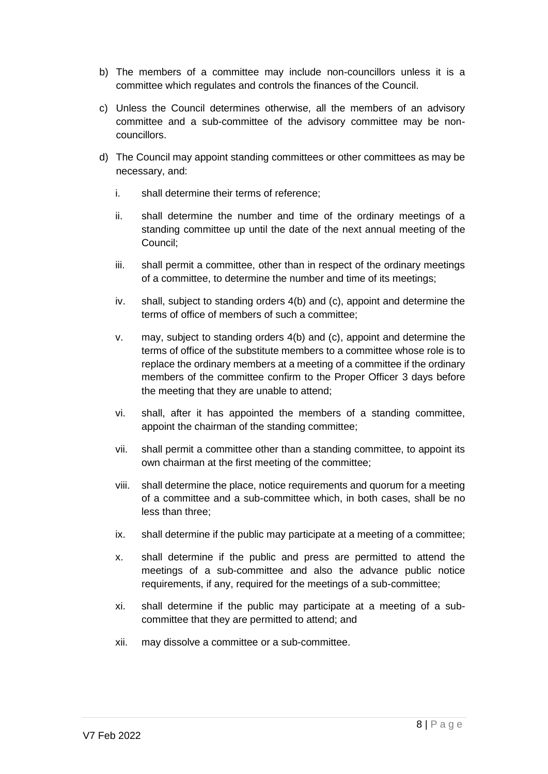- b) The members of a committee may include non-councillors unless it is a committee which regulates and controls the finances of the Council.
- c) Unless the Council determines otherwise, all the members of an advisory committee and a sub-committee of the advisory committee may be noncouncillors.
- d) The Council may appoint standing committees or other committees as may be necessary, and:
	- i. shall determine their terms of reference;
	- ii. shall determine the number and time of the ordinary meetings of a standing committee up until the date of the next annual meeting of the Council;
	- iii. shall permit a committee, other than in respect of the ordinary meetings of a committee, to determine the number and time of its meetings;
	- iv. shall, subject to standing orders 4(b) and (c), appoint and determine the terms of office of members of such a committee;
	- v. may, subject to standing orders 4(b) and (c), appoint and determine the terms of office of the substitute members to a committee whose role is to replace the ordinary members at a meeting of a committee if the ordinary members of the committee confirm to the Proper Officer 3 days before the meeting that they are unable to attend;
	- vi. shall, after it has appointed the members of a standing committee, appoint the chairman of the standing committee;
	- vii. shall permit a committee other than a standing committee, to appoint its own chairman at the first meeting of the committee;
	- viii. shall determine the place, notice requirements and quorum for a meeting of a committee and a sub-committee which, in both cases, shall be no less than three;
	- ix. shall determine if the public may participate at a meeting of a committee;
	- x. shall determine if the public and press are permitted to attend the meetings of a sub-committee and also the advance public notice requirements, if any, required for the meetings of a sub-committee;
	- xi. shall determine if the public may participate at a meeting of a subcommittee that they are permitted to attend; and
	- xii. may dissolve a committee or a sub-committee.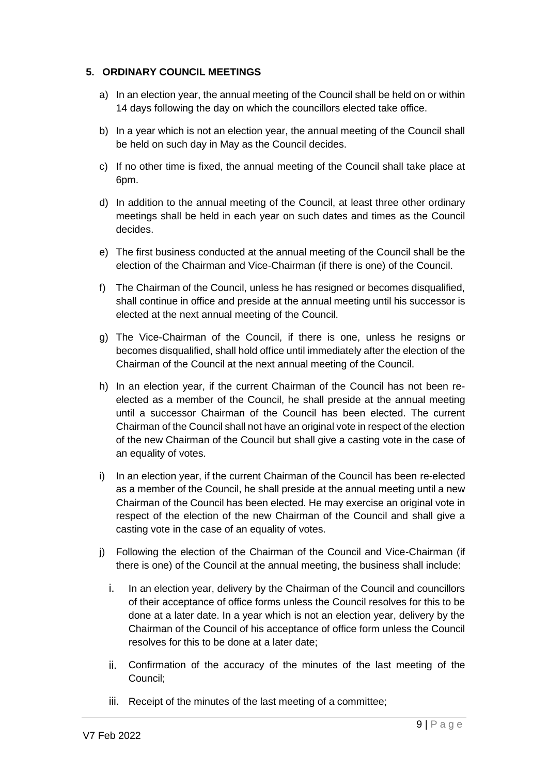## **5. ORDINARY COUNCIL MEETINGS**

- a) In an election year, the annual meeting of the Council shall be held on or within 14 days following the day on which the councillors elected take office.
- b) In a year which is not an election year, the annual meeting of the Council shall be held on such day in May as the Council decides.
- c) If no other time is fixed, the annual meeting of the Council shall take place at 6pm.
- d) In addition to the annual meeting of the Council, at least three other ordinary meetings shall be held in each year on such dates and times as the Council decides.
- e) The first business conducted at the annual meeting of the Council shall be the election of the Chairman and Vice-Chairman (if there is one) of the Council.
- f) The Chairman of the Council, unless he has resigned or becomes disqualified, shall continue in office and preside at the annual meeting until his successor is elected at the next annual meeting of the Council.
- g) The Vice-Chairman of the Council, if there is one, unless he resigns or becomes disqualified, shall hold office until immediately after the election of the Chairman of the Council at the next annual meeting of the Council.
- h) In an election year, if the current Chairman of the Council has not been reelected as a member of the Council, he shall preside at the annual meeting until a successor Chairman of the Council has been elected. The current Chairman of the Council shall not have an original vote in respect of the election of the new Chairman of the Council but shall give a casting vote in the case of an equality of votes.
- i) In an election year, if the current Chairman of the Council has been re-elected as a member of the Council, he shall preside at the annual meeting until a new Chairman of the Council has been elected. He may exercise an original vote in respect of the election of the new Chairman of the Council and shall give a casting vote in the case of an equality of votes.
- j) Following the election of the Chairman of the Council and Vice-Chairman (if there is one) of the Council at the annual meeting, the business shall include:
	- i. In an election year, delivery by the Chairman of the Council and councillors of their acceptance of office forms unless the Council resolves for this to be done at a later date. In a year which is not an election year, delivery by the Chairman of the Council of his acceptance of office form unless the Council resolves for this to be done at a later date;
	- ii. Confirmation of the accuracy of the minutes of the last meeting of the Council;
	- iii. Receipt of the minutes of the last meeting of a committee;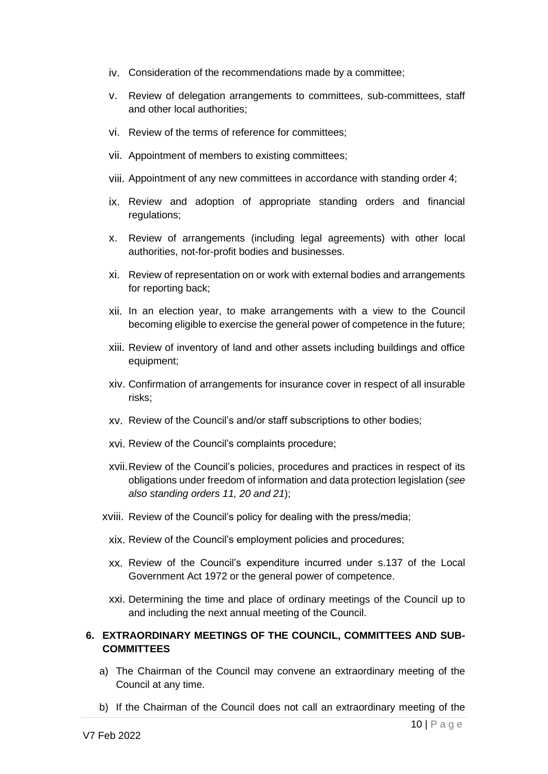- iv. Consideration of the recommendations made by a committee;
- v. Review of delegation arrangements to committees, sub-committees, staff and other local authorities;
- vi. Review of the terms of reference for committees;
- vii. Appointment of members to existing committees;
- viii. Appointment of any new committees in accordance with standing order 4;
- ix. Review and adoption of appropriate standing orders and financial regulations:
- x. Review of arrangements (including legal agreements) with other local authorities, not-for-profit bodies and businesses.
- xi. Review of representation on or work with external bodies and arrangements for reporting back;
- xii. In an election year, to make arrangements with a view to the Council becoming eligible to exercise the general power of competence in the future;
- xiii. Review of inventory of land and other assets including buildings and office equipment;
- xiv. Confirmation of arrangements for insurance cover in respect of all insurable risks;
- xv. Review of the Council's and/or staff subscriptions to other bodies;
- xvi. Review of the Council's complaints procedure;
- xvii.Review of the Council's policies, procedures and practices in respect of its obligations under freedom of information and data protection legislation (*see also standing orders 11, 20 and 21*);
- xviii. Review of the Council's policy for dealing with the press/media;
	- xix. Review of the Council's employment policies and procedures;
	- xx. Review of the Council's expenditure incurred under s.137 of the Local Government Act 1972 or the general power of competence.
	- xxi. Determining the time and place of ordinary meetings of the Council up to and including the next annual meeting of the Council.

## **6. EXTRAORDINARY MEETINGS OF THE COUNCIL, COMMITTEES AND SUB-COMMITTEES**

- a) The Chairman of the Council may convene an extraordinary meeting of the Council at any time.
- b) If the Chairman of the Council does not call an extraordinary meeting of the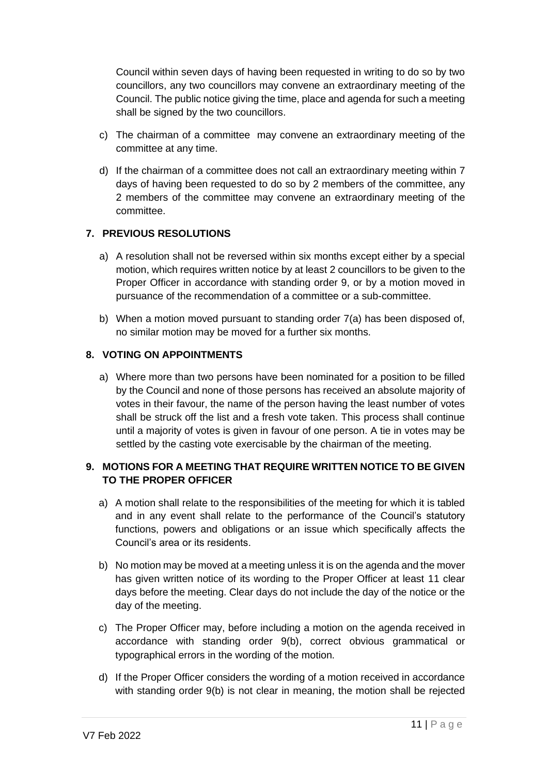Council within seven days of having been requested in writing to do so by two councillors, any two councillors may convene an extraordinary meeting of the Council. The public notice giving the time, place and agenda for such a meeting shall be signed by the two councillors.

- c) The chairman of a committee may convene an extraordinary meeting of the committee at any time.
- d) If the chairman of a committee does not call an extraordinary meeting within 7 days of having been requested to do so by 2 members of the committee, any 2 members of the committee may convene an extraordinary meeting of the committee.

# **7. PREVIOUS RESOLUTIONS**

- a) A resolution shall not be reversed within six months except either by a special motion, which requires written notice by at least 2 councillors to be given to the Proper Officer in accordance with standing order 9, or by a motion moved in pursuance of the recommendation of a committee or a sub-committee.
- b) When a motion moved pursuant to standing order 7(a) has been disposed of, no similar motion may be moved for a further six months.

# **8. VOTING ON APPOINTMENTS**

a) Where more than two persons have been nominated for a position to be filled by the Council and none of those persons has received an absolute majority of votes in their favour, the name of the person having the least number of votes shall be struck off the list and a fresh vote taken. This process shall continue until a majority of votes is given in favour of one person. A tie in votes may be settled by the casting vote exercisable by the chairman of the meeting.

# **9. MOTIONS FOR A MEETING THAT REQUIRE WRITTEN NOTICE TO BE GIVEN TO THE PROPER OFFICER**

- a) A motion shall relate to the responsibilities of the meeting for which it is tabled and in any event shall relate to the performance of the Council's statutory functions, powers and obligations or an issue which specifically affects the Council's area or its residents.
- b) No motion may be moved at a meeting unless it is on the agenda and the mover has given written notice of its wording to the Proper Officer at least 11 clear days before the meeting. Clear days do not include the day of the notice or the day of the meeting.
- c) The Proper Officer may, before including a motion on the agenda received in accordance with standing order 9(b), correct obvious grammatical or typographical errors in the wording of the motion.
- d) If the Proper Officer considers the wording of a motion received in accordance with standing order 9(b) is not clear in meaning, the motion shall be rejected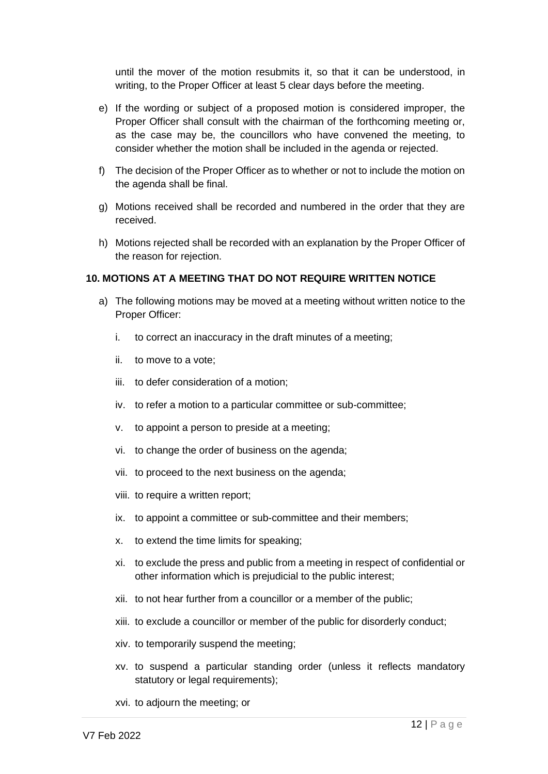until the mover of the motion resubmits it, so that it can be understood, in writing, to the Proper Officer at least 5 clear days before the meeting.

- e) If the wording or subject of a proposed motion is considered improper, the Proper Officer shall consult with the chairman of the forthcoming meeting or, as the case may be, the councillors who have convened the meeting, to consider whether the motion shall be included in the agenda or rejected.
- f) The decision of the Proper Officer as to whether or not to include the motion on the agenda shall be final.
- g) Motions received shall be recorded and numbered in the order that they are received.
- h) Motions rejected shall be recorded with an explanation by the Proper Officer of the reason for rejection.

### **10. MOTIONS AT A MEETING THAT DO NOT REQUIRE WRITTEN NOTICE**

- a) The following motions may be moved at a meeting without written notice to the Proper Officer:
	- i. to correct an inaccuracy in the draft minutes of a meeting;
	- ii. to move to a vote;
	- iii. to defer consideration of a motion;
	- iv. to refer a motion to a particular committee or sub-committee;
	- v. to appoint a person to preside at a meeting;
	- vi. to change the order of business on the agenda;
	- vii. to proceed to the next business on the agenda;
	- viii. to require a written report;
	- ix. to appoint a committee or sub-committee and their members;
	- x. to extend the time limits for speaking;
	- xi. to exclude the press and public from a meeting in respect of confidential or other information which is prejudicial to the public interest;
	- xii. to not hear further from a councillor or a member of the public;
	- xiii. to exclude a councillor or member of the public for disorderly conduct;
	- xiv. to temporarily suspend the meeting;
	- xv. to suspend a particular standing order (unless it reflects mandatory statutory or legal requirements);
	- xvi. to adjourn the meeting; or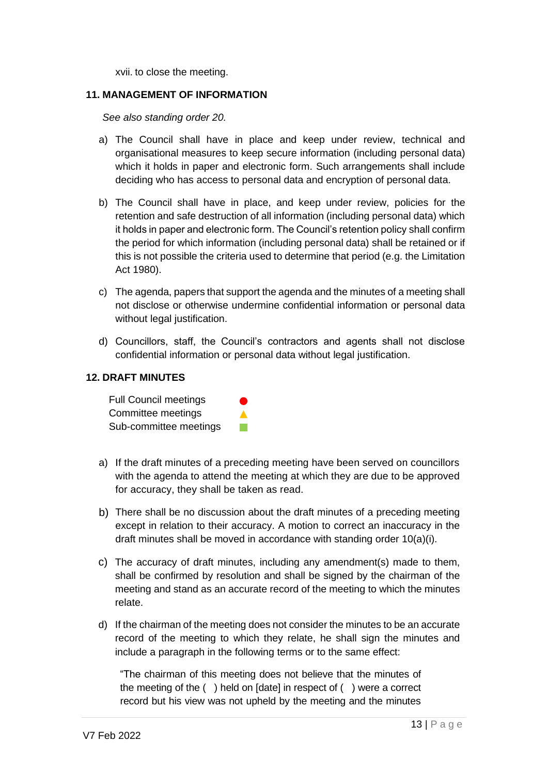xvii. to close the meeting.

#### **11. MANAGEMENT OF INFORMATION**

*See also standing order 20.*

- a) The Council shall have in place and keep under review, technical and organisational measures to keep secure information (including personal data) which it holds in paper and electronic form. Such arrangements shall include deciding who has access to personal data and encryption of personal data.
- b) The Council shall have in place, and keep under review, policies for the retention and safe destruction of all information (including personal data) which it holds in paper and electronic form. The Council's retention policy shall confirm the period for which information (including personal data) shall be retained or if this is not possible the criteria used to determine that period (e.g. the Limitation Act 1980).
- c) The agenda, papers that support the agenda and the minutes of a meeting shall not disclose or otherwise undermine confidential information or personal data without legal justification.
- d) Councillors, staff, the Council's contractors and agents shall not disclose confidential information or personal data without legal justification.

### **12. DRAFT MINUTES**

Full Council meetings Committee meetings Sub-committee meetings

- a) If the draft minutes of a preceding meeting have been served on councillors with the agenda to attend the meeting at which they are due to be approved for accuracy, they shall be taken as read.
- b) There shall be no discussion about the draft minutes of a preceding meeting except in relation to their accuracy. A motion to correct an inaccuracy in the draft minutes shall be moved in accordance with standing order 10(a)(i).
- c) The accuracy of draft minutes, including any amendment(s) made to them, shall be confirmed by resolution and shall be signed by the chairman of the meeting and stand as an accurate record of the meeting to which the minutes relate.
- d) If the chairman of the meeting does not consider the minutes to be an accurate record of the meeting to which they relate, he shall sign the minutes and include a paragraph in the following terms or to the same effect:

"The chairman of this meeting does not believe that the minutes of the meeting of the ( ) held on [date] in respect of ( ) were a correct record but his view was not upheld by the meeting and the minutes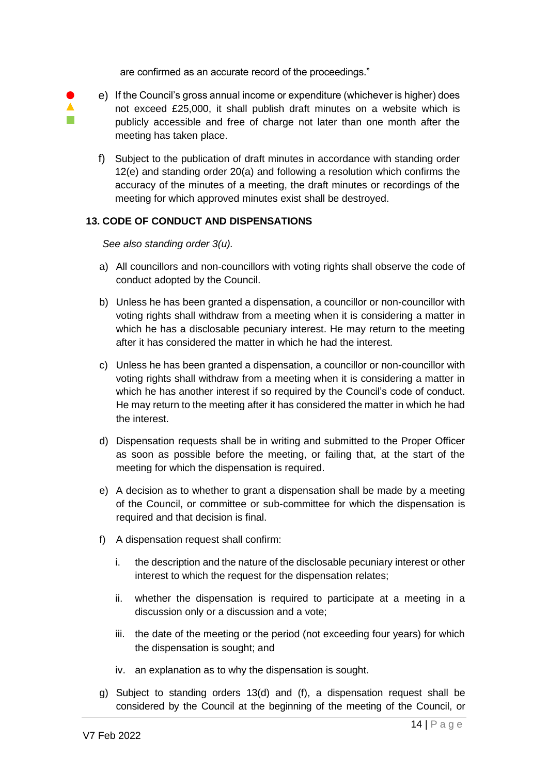are confirmed as an accurate record of the proceedings."

 $\blacktriangle$ **Tale** 

- e) If the Council's gross annual income or expenditure (whichever is higher) does not exceed £25,000, it shall publish draft minutes on a website which is publicly accessible and free of charge not later than one month after the meeting has taken place.
- f) Subject to the publication of draft minutes in accordance with standing order 12(e) and standing order 20(a) and following a resolution which confirms the accuracy of the minutes of a meeting, the draft minutes or recordings of the meeting for which approved minutes exist shall be destroyed.

# **13. CODE OF CONDUCT AND DISPENSATIONS**

*See also standing order 3(u).*

- a) All councillors and non-councillors with voting rights shall observe the code of conduct adopted by the Council.
- b) Unless he has been granted a dispensation, a councillor or non-councillor with voting rights shall withdraw from a meeting when it is considering a matter in which he has a disclosable pecuniary interest. He may return to the meeting after it has considered the matter in which he had the interest.
- c) Unless he has been granted a dispensation, a councillor or non-councillor with voting rights shall withdraw from a meeting when it is considering a matter in which he has another interest if so required by the Council's code of conduct. He may return to the meeting after it has considered the matter in which he had the interest.
- d) Dispensation requests shall be in writing and submitted to the Proper Officer as soon as possible before the meeting, or failing that, at the start of the meeting for which the dispensation is required.
- e) A decision as to whether to grant a dispensation shall be made by a meeting of the Council, or committee or sub-committee for which the dispensation is required and that decision is final.
- f) A dispensation request shall confirm:
	- i. the description and the nature of the disclosable pecuniary interest or other interest to which the request for the dispensation relates;
	- ii. whether the dispensation is required to participate at a meeting in a discussion only or a discussion and a vote;
	- iii. the date of the meeting or the period (not exceeding four years) for which the dispensation is sought; and
	- iv. an explanation as to why the dispensation is sought.
- g) Subject to standing orders 13(d) and (f), a dispensation request shall be considered by the Council at the beginning of the meeting of the Council, or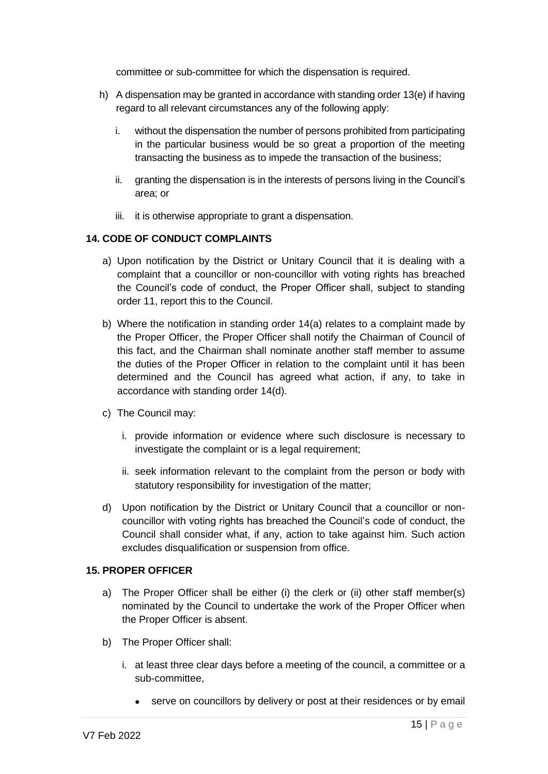committee or sub-committee for which the dispensation is required.

- h) A dispensation may be granted in accordance with standing order 13(e) if having regard to all relevant circumstances any of the following apply:
	- i. without the dispensation the number of persons prohibited from participating in the particular business would be so great a proportion of the meeting transacting the business as to impede the transaction of the business;
	- ii. granting the dispensation is in the interests of persons living in the Council's area; or
	- iii. it is otherwise appropriate to grant a dispensation.

## **14. CODE OF CONDUCT COMPLAINTS**

- a) Upon notification by the District or Unitary Council that it is dealing with a complaint that a councillor or non-councillor with voting rights has breached the Council's code of conduct, the Proper Officer shall, subject to standing order 11, report this to the Council.
- b) Where the notification in standing order 14(a) relates to a complaint made by the Proper Officer, the Proper Officer shall notify the Chairman of Council of this fact, and the Chairman shall nominate another staff member to assume the duties of the Proper Officer in relation to the complaint until it has been determined and the Council has agreed what action, if any, to take in accordance with standing order 14(d).
- c) The Council may:
	- i. provide information or evidence where such disclosure is necessary to investigate the complaint or is a legal requirement;
	- ii. seek information relevant to the complaint from the person or body with statutory responsibility for investigation of the matter;
- d) Upon notification by the District or Unitary Council that a councillor or noncouncillor with voting rights has breached the Council's code of conduct, the Council shall consider what, if any, action to take against him. Such action excludes disqualification or suspension from office.

### **15. PROPER OFFICER**

- a) The Proper Officer shall be either (i) the clerk or (ii) other staff member(s) nominated by the Council to undertake the work of the Proper Officer when the Proper Officer is absent.
- b) The Proper Officer shall:
	- i. at least three clear days before a meeting of the council, a committee or a sub-committee,
		- serve on councillors by delivery or post at their residences or by email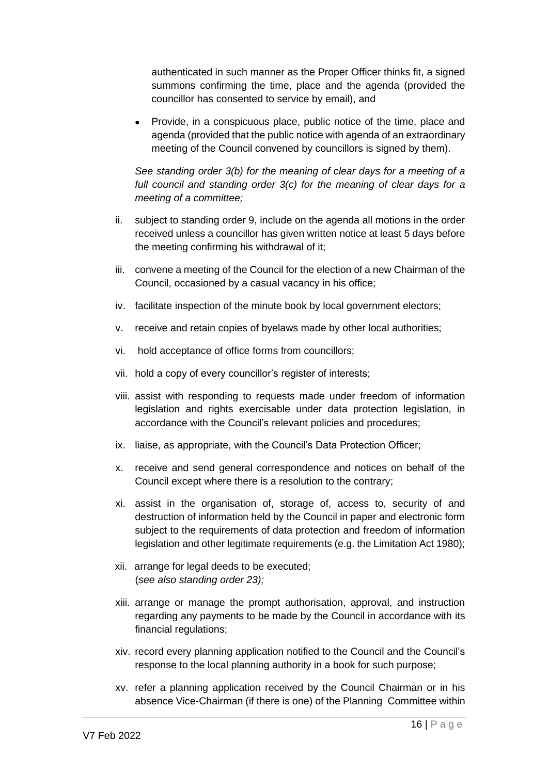authenticated in such manner as the Proper Officer thinks fit, a signed summons confirming the time, place and the agenda (provided the councillor has consented to service by email), and

• Provide, in a conspicuous place, public notice of the time, place and agenda (provided that the public notice with agenda of an extraordinary meeting of the Council convened by councillors is signed by them).

*See standing order 3(b) for the meaning of clear days for a meeting of a full council and standing order 3(c) for the meaning of clear days for a meeting of a committee;*

- ii. subject to standing order 9, include on the agenda all motions in the order received unless a councillor has given written notice at least 5 days before the meeting confirming his withdrawal of it;
- iii. convene a meeting of the Council for the election of a new Chairman of the Council, occasioned by a casual vacancy in his office;
- iv. facilitate inspection of the minute book by local government electors;
- v. receive and retain copies of byelaws made by other local authorities;
- vi. hold acceptance of office forms from councillors;
- vii. hold a copy of every councillor's register of interests;
- viii. assist with responding to requests made under freedom of information legislation and rights exercisable under data protection legislation, in accordance with the Council's relevant policies and procedures;
- ix. liaise, as appropriate, with the Council's Data Protection Officer;
- x. receive and send general correspondence and notices on behalf of the Council except where there is a resolution to the contrary;
- xi. assist in the organisation of, storage of, access to, security of and destruction of information held by the Council in paper and electronic form subject to the requirements of data protection and freedom of information legislation and other legitimate requirements (e.g. the Limitation Act 1980);
- xii. arrange for legal deeds to be executed; (*see also standing order 23);*
- xiii. arrange or manage the prompt authorisation, approval, and instruction regarding any payments to be made by the Council in accordance with its financial regulations;
- xiv. record every planning application notified to the Council and the Council's response to the local planning authority in a book for such purpose;
- xv. refer a planning application received by the Council Chairman or in his absence Vice-Chairman (if there is one) of the Planning Committee within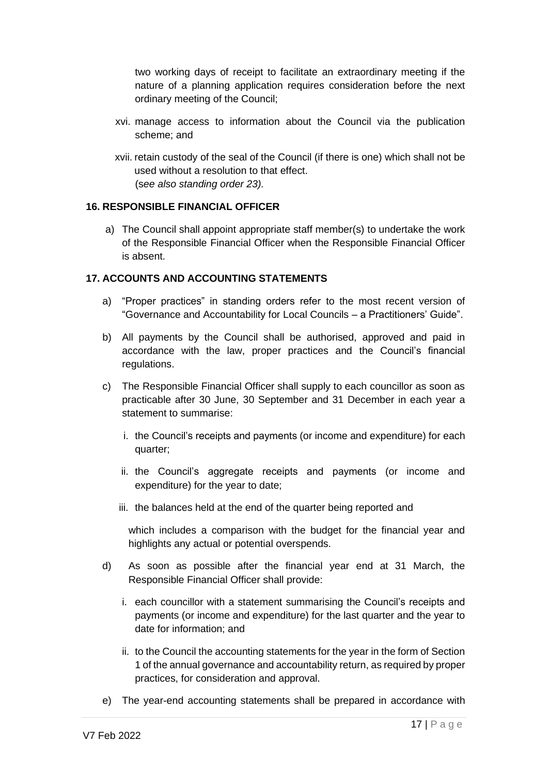two working days of receipt to facilitate an extraordinary meeting if the nature of a planning application requires consideration before the next ordinary meeting of the Council;

- xvi. manage access to information about the Council via the publication scheme; and
- xvii. retain custody of the seal of the Council (if there is one) which shall not be used without a resolution to that effect. (s*ee also standing order 23).*

## **16. RESPONSIBLE FINANCIAL OFFICER**

a) The Council shall appoint appropriate staff member(s) to undertake the work of the Responsible Financial Officer when the Responsible Financial Officer is absent.

## **17. ACCOUNTS AND ACCOUNTING STATEMENTS**

- a) "Proper practices" in standing orders refer to the most recent version of "Governance and Accountability for Local Councils – a Practitioners' Guide".
- b) All payments by the Council shall be authorised, approved and paid in accordance with the law, proper practices and the Council's financial regulations.
- c) The Responsible Financial Officer shall supply to each councillor as soon as practicable after 30 June, 30 September and 31 December in each year a statement to summarise:
	- i. the Council's receipts and payments (or income and expenditure) for each quarter;
	- ii. the Council's aggregate receipts and payments (or income and expenditure) for the year to date;
	- iii. the balances held at the end of the quarter being reported and

which includes a comparison with the budget for the financial year and highlights any actual or potential overspends.

- d) As soon as possible after the financial year end at 31 March, the Responsible Financial Officer shall provide:
	- i. each councillor with a statement summarising the Council's receipts and payments (or income and expenditure) for the last quarter and the year to date for information; and
	- ii. to the Council the accounting statements for the year in the form of Section 1 of the annual governance and accountability return, as required by proper practices, for consideration and approval.
- e) The year-end accounting statements shall be prepared in accordance with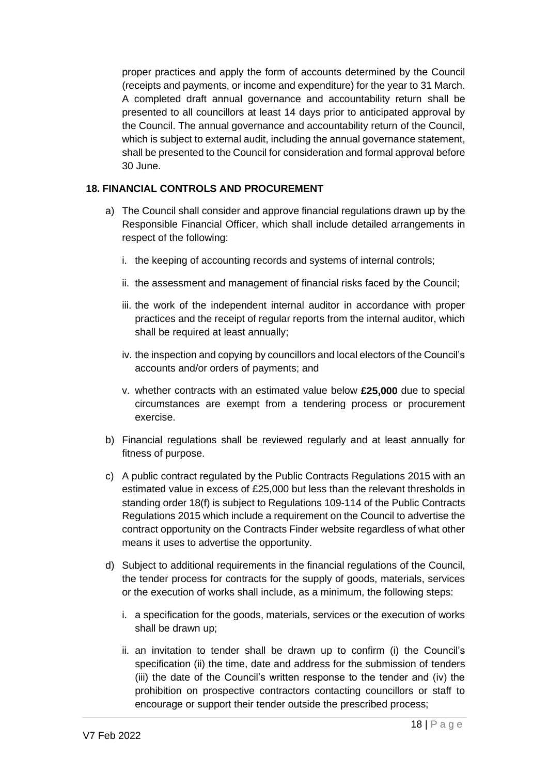proper practices and apply the form of accounts determined by the Council (receipts and payments, or income and expenditure) for the year to 31 March. A completed draft annual governance and accountability return shall be presented to all councillors at least 14 days prior to anticipated approval by the Council. The annual governance and accountability return of the Council, which is subject to external audit, including the annual governance statement, shall be presented to the Council for consideration and formal approval before 30 June.

# **18. FINANCIAL CONTROLS AND PROCUREMENT**

- a) The Council shall consider and approve financial regulations drawn up by the Responsible Financial Officer, which shall include detailed arrangements in respect of the following:
	- i. the keeping of accounting records and systems of internal controls;
	- ii. the assessment and management of financial risks faced by the Council;
	- iii. the work of the independent internal auditor in accordance with proper practices and the receipt of regular reports from the internal auditor, which shall be required at least annually;
	- iv. the inspection and copying by councillors and local electors of the Council's accounts and/or orders of payments; and
	- v. whether contracts with an estimated value below **£25,000** due to special circumstances are exempt from a tendering process or procurement exercise.
- b) Financial regulations shall be reviewed regularly and at least annually for fitness of purpose.
- c) A public contract regulated by the Public Contracts Regulations 2015 with an estimated value in excess of £25,000 but less than the relevant thresholds in standing order 18(f) is subject to Regulations 109-114 of the Public Contracts Regulations 2015 which include a requirement on the Council to advertise the contract opportunity on the Contracts Finder website regardless of what other means it uses to advertise the opportunity.
- d) Subject to additional requirements in the financial regulations of the Council, the tender process for contracts for the supply of goods, materials, services or the execution of works shall include, as a minimum, the following steps:
	- i. a specification for the goods, materials, services or the execution of works shall be drawn up;
	- ii. an invitation to tender shall be drawn up to confirm (i) the Council's specification (ii) the time, date and address for the submission of tenders (iii) the date of the Council's written response to the tender and (iv) the prohibition on prospective contractors contacting councillors or staff to encourage or support their tender outside the prescribed process;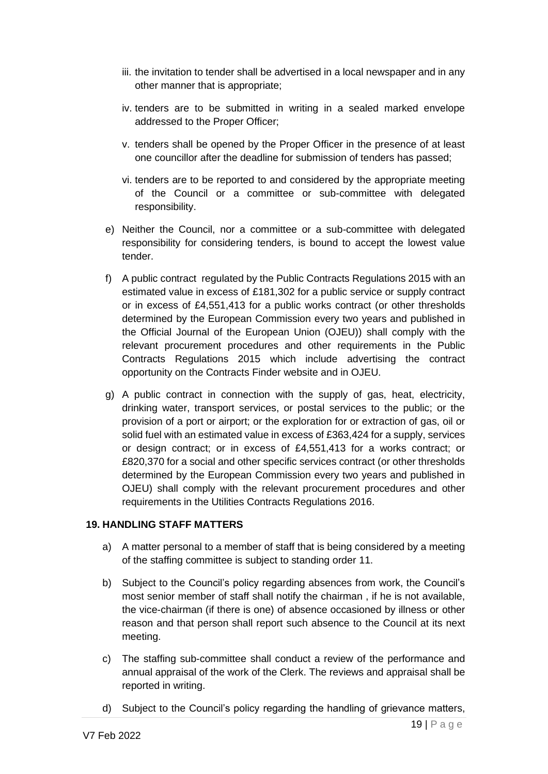- iii. the invitation to tender shall be advertised in a local newspaper and in any other manner that is appropriate;
- iv. tenders are to be submitted in writing in a sealed marked envelope addressed to the Proper Officer;
- v. tenders shall be opened by the Proper Officer in the presence of at least one councillor after the deadline for submission of tenders has passed;
- vi. tenders are to be reported to and considered by the appropriate meeting of the Council or a committee or sub-committee with delegated responsibility.
- e) Neither the Council, nor a committee or a sub-committee with delegated responsibility for considering tenders, is bound to accept the lowest value tender.
- f) A public contract regulated by the Public Contracts Regulations 2015 with an estimated value in excess of £181,302 for a public service or supply contract or in excess of £4,551,413 for a public works contract (or other thresholds determined by the European Commission every two years and published in the Official Journal of the European Union (OJEU)) shall comply with the relevant procurement procedures and other requirements in the Public Contracts Regulations 2015 which include advertising the contract opportunity on the Contracts Finder website and in OJEU.
- g) A public contract in connection with the supply of gas, heat, electricity, drinking water, transport services, or postal services to the public; or the provision of a port or airport; or the exploration for or extraction of gas, oil or solid fuel with an estimated value in excess of £363,424 for a supply, services or design contract; or in excess of £4,551,413 for a works contract; or £820,370 for a social and other specific services contract (or other thresholds determined by the European Commission every two years and published in OJEU) shall comply with the relevant procurement procedures and other requirements in the Utilities Contracts Regulations 2016.

### **19. HANDLING STAFF MATTERS**

- a) A matter personal to a member of staff that is being considered by a meeting of the staffing committee is subject to standing order 11.
- b) Subject to the Council's policy regarding absences from work, the Council's most senior member of staff shall notify the chairman , if he is not available, the vice-chairman (if there is one) of absence occasioned by illness or other reason and that person shall report such absence to the Council at its next meeting.
- c) The staffing sub-committee shall conduct a review of the performance and annual appraisal of the work of the Clerk. The reviews and appraisal shall be reported in writing.
- d) Subject to the Council's policy regarding the handling of grievance matters,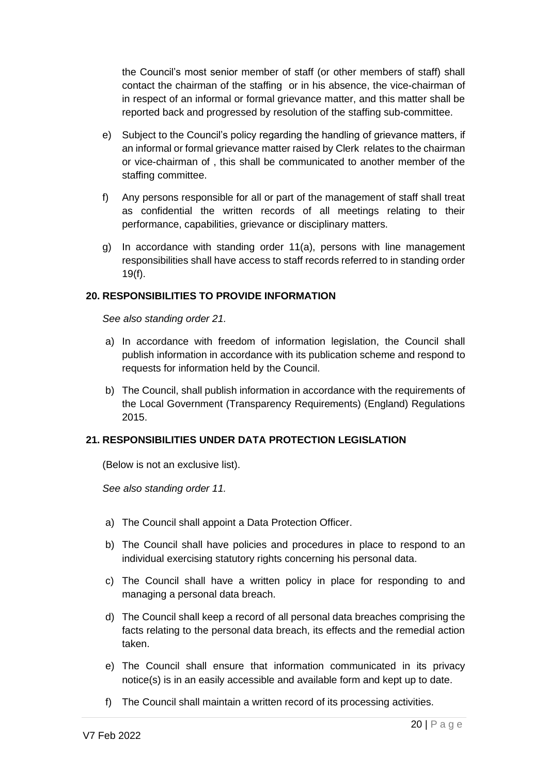the Council's most senior member of staff (or other members of staff) shall contact the chairman of the staffing or in his absence, the vice-chairman of in respect of an informal or formal grievance matter, and this matter shall be reported back and progressed by resolution of the staffing sub-committee.

- e) Subject to the Council's policy regarding the handling of grievance matters, if an informal or formal grievance matter raised by Clerk relates to the chairman or vice-chairman of , this shall be communicated to another member of the staffing committee.
- f) Any persons responsible for all or part of the management of staff shall treat as confidential the written records of all meetings relating to their performance, capabilities, grievance or disciplinary matters.
- g) In accordance with standing order 11(a), persons with line management responsibilities shall have access to staff records referred to in standing order 19(f).

## **20. RESPONSIBILITIES TO PROVIDE INFORMATION**

*See also standing order 21.*

- a) In accordance with freedom of information legislation, the Council shall publish information in accordance with its publication scheme and respond to requests for information held by the Council.
- b) The Council, shall publish information in accordance with the requirements of the Local Government (Transparency Requirements) (England) Regulations 2015.

### **21. RESPONSIBILITIES UNDER DATA PROTECTION LEGISLATION**

(Below is not an exclusive list).

*See also standing order 11.*

- a) The Council shall appoint a Data Protection Officer.
- b) The Council shall have policies and procedures in place to respond to an individual exercising statutory rights concerning his personal data.
- c) The Council shall have a written policy in place for responding to and managing a personal data breach.
- d) The Council shall keep a record of all personal data breaches comprising the facts relating to the personal data breach, its effects and the remedial action taken.
- e) The Council shall ensure that information communicated in its privacy notice(s) is in an easily accessible and available form and kept up to date.
- f) The Council shall maintain a written record of its processing activities.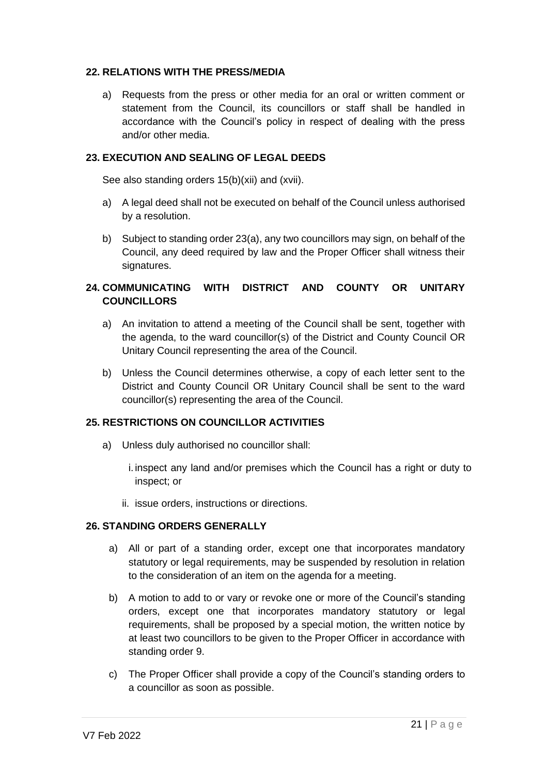## **22. RELATIONS WITH THE PRESS/MEDIA**

a) Requests from the press or other media for an oral or written comment or statement from the Council, its councillors or staff shall be handled in accordance with the Council's policy in respect of dealing with the press and/or other media.

## **23. EXECUTION AND SEALING OF LEGAL DEEDS**

See also standing orders 15(b)(xii) and (xvii).

- a) A legal deed shall not be executed on behalf of the Council unless authorised by a resolution.
- b) Subject to standing order 23(a), any two councillors may sign, on behalf of the Council, any deed required by law and the Proper Officer shall witness their signatures.

# **24. COMMUNICATING WITH DISTRICT AND COUNTY OR UNITARY COUNCILLORS**

- a) An invitation to attend a meeting of the Council shall be sent, together with the agenda, to the ward councillor(s) of the District and County Council OR Unitary Council representing the area of the Council.
- b) Unless the Council determines otherwise, a copy of each letter sent to the District and County Council OR Unitary Council shall be sent to the ward councillor(s) representing the area of the Council.

# **25. RESTRICTIONS ON COUNCILLOR ACTIVITIES**

- a) Unless duly authorised no councillor shall:
	- i.inspect any land and/or premises which the Council has a right or duty to inspect; or
	- ii. issue orders, instructions or directions.

### **26. STANDING ORDERS GENERALLY**

- a) All or part of a standing order, except one that incorporates mandatory statutory or legal requirements, may be suspended by resolution in relation to the consideration of an item on the agenda for a meeting.
- b) A motion to add to or vary or revoke one or more of the Council's standing orders, except one that incorporates mandatory statutory or legal requirements, shall be proposed by a special motion, the written notice by at least two councillors to be given to the Proper Officer in accordance with standing order 9.
- c) The Proper Officer shall provide a copy of the Council's standing orders to a councillor as soon as possible.